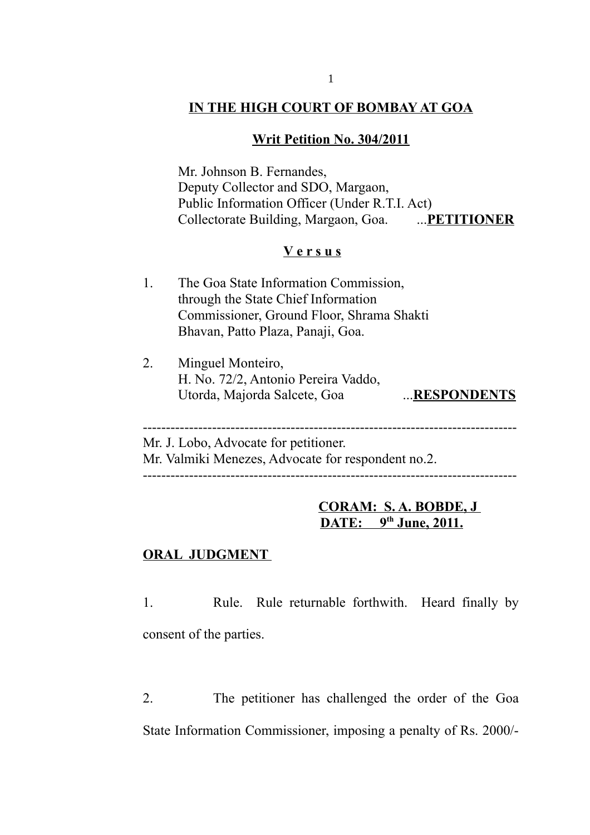## **IN THE HIGH COURT OF BOMBAY AT GOA**

### **Writ Petition No. 304/2011**

Mr. Johnson B. Fernandes, Deputy Collector and SDO, Margaon, Public Information Officer (Under R.T.I. Act) Collectorate Building, Margaon, Goa. ...**PETITIONER**

### **V e r s u s**

- 1. The Goa State Information Commission, through the State Chief Information Commissioner, Ground Floor, Shrama Shakti Bhavan, Patto Plaza, Panaji, Goa.
- 2. Minguel Monteiro, H. No. 72/2, Antonio Pereira Vaddo, Utorda, Majorda Salcete, Goa ...**RESPONDENTS**

Mr. J. Lobo, Advocate for petitioner. Mr. Valmiki Menezes, Advocate for respondent no.2.

---------------------------------------------------------------------------------

---------------------------------------------------------------------------------

# **CORAM: S. A. BOBDE, J DATE: 9th June, 2011.**

#### **ORAL JUDGMENT**

1. Rule. Rule returnable forthwith. Heard finally by consent of the parties.

2. The petitioner has challenged the order of the Goa State Information Commissioner, imposing a penalty of Rs. 2000/-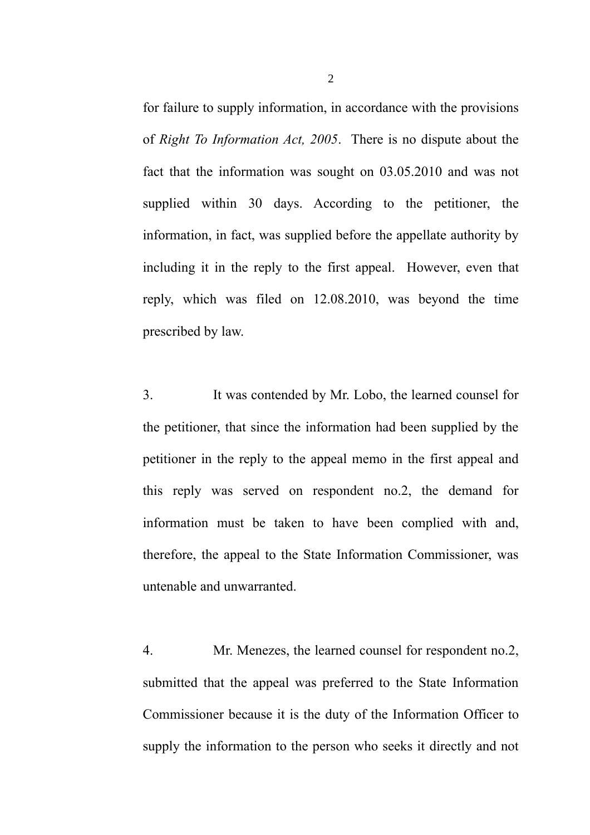for failure to supply information, in accordance with the provisions of *Right To Information Act, 2005*. There is no dispute about the fact that the information was sought on 03.05.2010 and was not supplied within 30 days. According to the petitioner, the information, in fact, was supplied before the appellate authority by including it in the reply to the first appeal. However, even that reply, which was filed on 12.08.2010, was beyond the time prescribed by law.

3. It was contended by Mr. Lobo, the learned counsel for the petitioner, that since the information had been supplied by the petitioner in the reply to the appeal memo in the first appeal and this reply was served on respondent no.2, the demand for information must be taken to have been complied with and, therefore, the appeal to the State Information Commissioner, was untenable and unwarranted.

4. Mr. Menezes, the learned counsel for respondent no.2, submitted that the appeal was preferred to the State Information Commissioner because it is the duty of the Information Officer to supply the information to the person who seeks it directly and not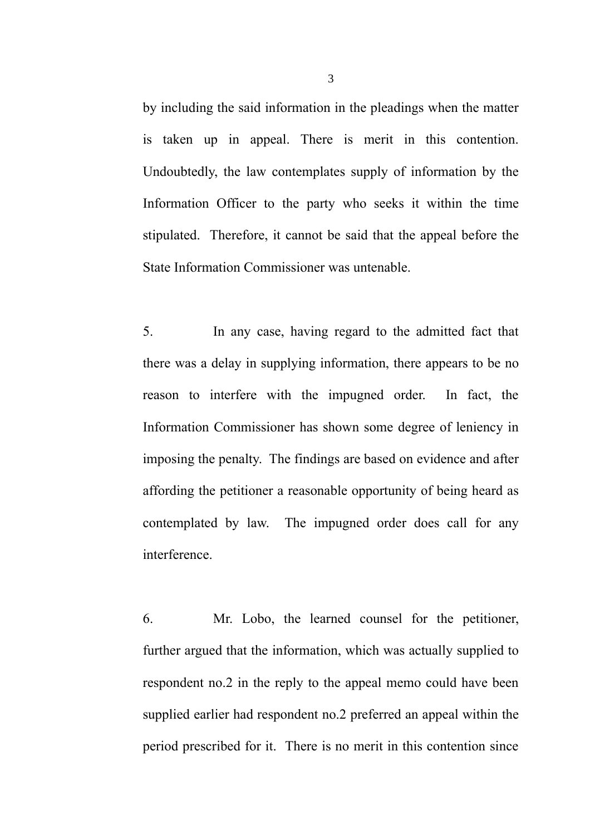by including the said information in the pleadings when the matter is taken up in appeal. There is merit in this contention. Undoubtedly, the law contemplates supply of information by the Information Officer to the party who seeks it within the time stipulated. Therefore, it cannot be said that the appeal before the State Information Commissioner was untenable.

5. In any case, having regard to the admitted fact that there was a delay in supplying information, there appears to be no reason to interfere with the impugned order. In fact, the Information Commissioner has shown some degree of leniency in imposing the penalty. The findings are based on evidence and after affording the petitioner a reasonable opportunity of being heard as contemplated by law. The impugned order does call for any interference.

6. Mr. Lobo, the learned counsel for the petitioner, further argued that the information, which was actually supplied to respondent no.2 in the reply to the appeal memo could have been supplied earlier had respondent no.2 preferred an appeal within the period prescribed for it. There is no merit in this contention since